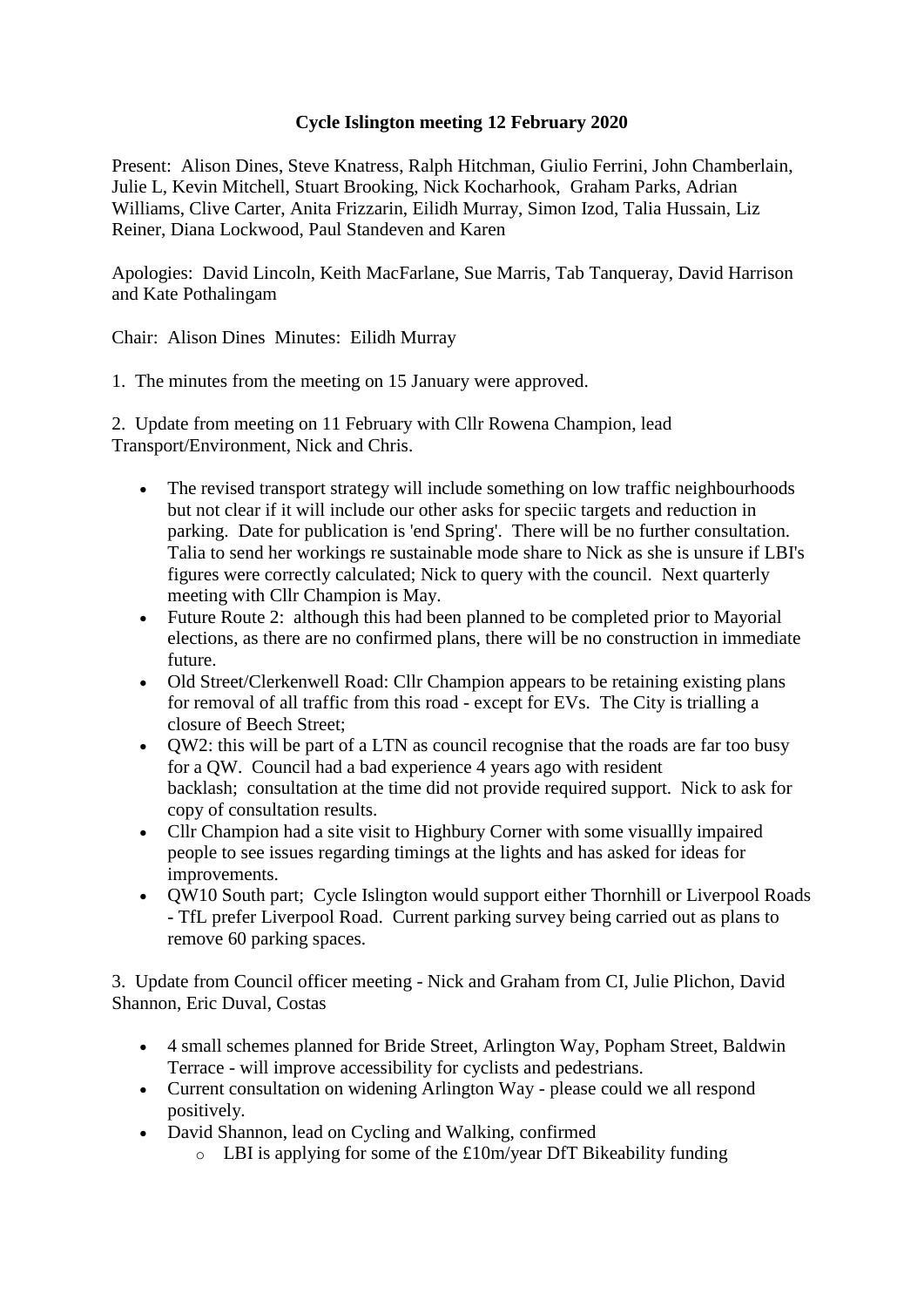## **Cycle Islington meeting 12 February 2020**

Present: Alison Dines, Steve Knatress, Ralph Hitchman, Giulio Ferrini, John Chamberlain, Julie L, Kevin Mitchell, Stuart Brooking, Nick Kocharhook, Graham Parks, Adrian Williams, Clive Carter, Anita Frizzarin, Eilidh Murray, Simon Izod, Talia Hussain, Liz Reiner, Diana Lockwood, Paul Standeven and Karen

Apologies: David Lincoln, Keith MacFarlane, Sue Marris, Tab Tanqueray, David Harrison and Kate Pothalingam

Chair: Alison Dines Minutes: Eilidh Murray

1. The minutes from the meeting on 15 January were approved.

2. Update from meeting on 11 February with Cllr Rowena Champion, lead Transport/Environment, Nick and Chris.

- The revised transport strategy will include something on low traffic neighbourhoods but not clear if it will include our other asks for speciic targets and reduction in parking. Date for publication is 'end Spring'. There will be no further consultation. Talia to send her workings re sustainable mode share to Nick as she is unsure if LBI's figures were correctly calculated; Nick to query with the council. Next quarterly meeting with Cllr Champion is May.
- Future Route 2: although this had been planned to be completed prior to Mayorial elections, as there are no confirmed plans, there will be no construction in immediate future.
- Old Street/Clerkenwell Road: Cllr Champion appears to be retaining existing plans for removal of all traffic from this road - except for EVs. The City is trialling a closure of Beech Street;
- QW2: this will be part of a LTN as council recognise that the roads are far too busy for a QW. Council had a bad experience 4 years ago with resident backlash; consultation at the time did not provide required support. Nick to ask for copy of consultation results.
- Cllr Champion had a site visit to Highbury Corner with some visuallly impaired people to see issues regarding timings at the lights and has asked for ideas for improvements.
- QW10 South part; Cycle Islington would support either Thornhill or Liverpool Roads - TfL prefer Liverpool Road. Current parking survey being carried out as plans to remove 60 parking spaces.

3. Update from Council officer meeting - Nick and Graham from CI, Julie Plichon, David Shannon, Eric Duval, Costas

- 4 small schemes planned for Bride Street, Arlington Way, Popham Street, Baldwin Terrace - will improve accessibility for cyclists and pedestrians.
- Current consultation on widening Arlington Way please could we all respond positively.
- David Shannon, lead on Cycling and Walking, confirmed
	- $\circ$  LBI is applying for some of the £10m/year DfT Bikeability funding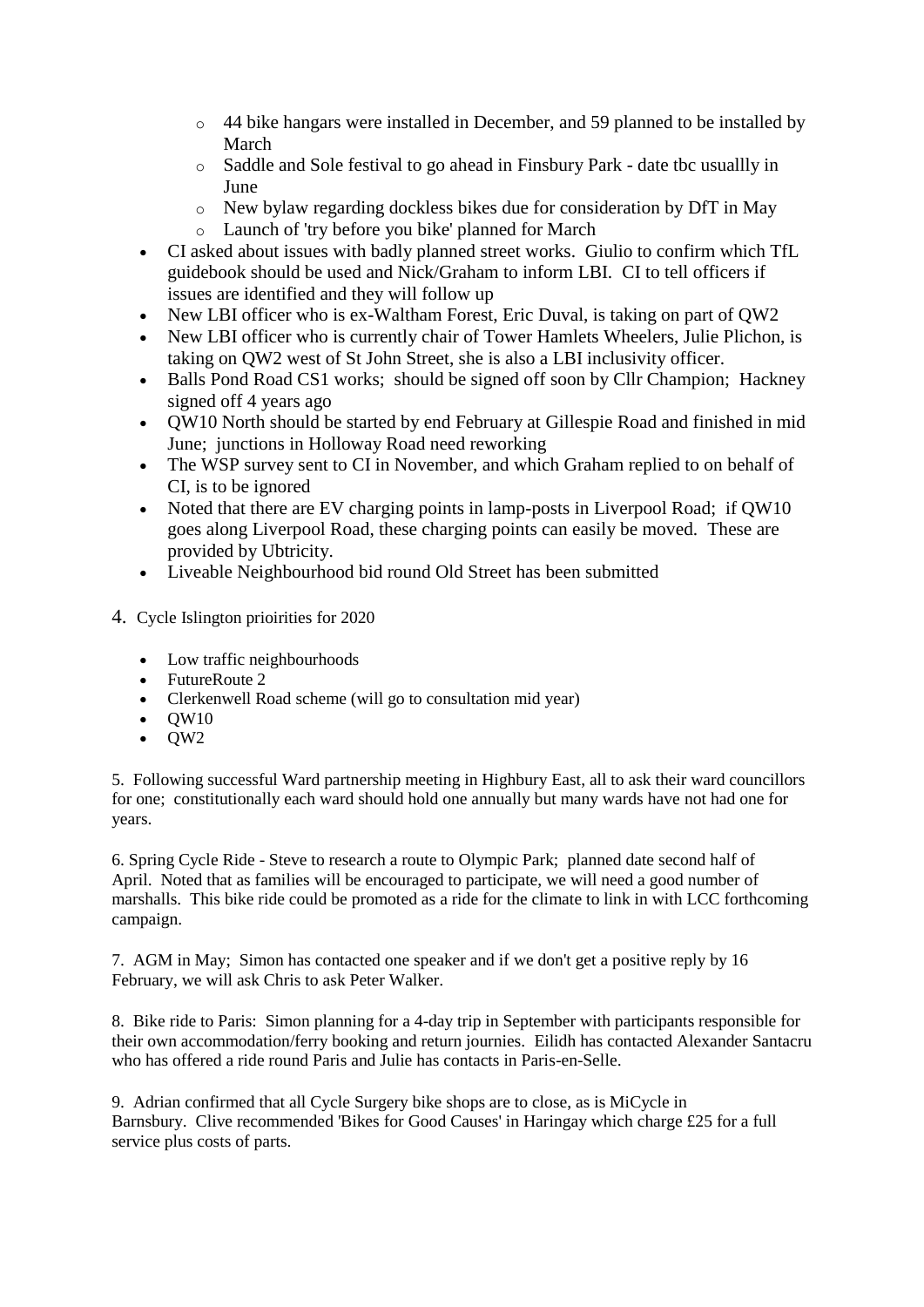- o 44 bike hangars were installed in December, and 59 planned to be installed by March
- o Saddle and Sole festival to go ahead in Finsbury Park date tbc usuallly in June
- o New bylaw regarding dockless bikes due for consideration by DfT in May
- o Launch of 'try before you bike' planned for March
- CI asked about issues with badly planned street works. Giulio to confirm which TfL guidebook should be used and Nick/Graham to inform LBI. CI to tell officers if issues are identified and they will follow up
- New LBI officer who is ex-Waltham Forest, Eric Duval, is taking on part of QW2
- New LBI officer who is currently chair of Tower Hamlets Wheelers, Julie Plichon, is taking on QW2 west of St John Street, she is also a LBI inclusivity officer.
- Balls Pond Road CS1 works; should be signed off soon by Cllr Champion; Hackney signed off 4 years ago
- QW10 North should be started by end February at Gillespie Road and finished in mid June; junctions in Holloway Road need reworking
- The WSP survey sent to CI in November, and which Graham replied to on behalf of CI, is to be ignored
- Noted that there are EV charging points in lamp-posts in Liverpool Road; if QW10 goes along Liverpool Road, these charging points can easily be moved. These are provided by Ubtricity.
- Liveable Neighbourhood bid round Old Street has been submitted
- 4. Cycle Islington prioirities for 2020
	- Low traffic neighbourhoods
	- FutureRoute 2
	- Clerkenwell Road scheme (will go to consultation mid year)
	- $\bullet$  OW10
	- $\bullet$  QW2

5. Following successful Ward partnership meeting in Highbury East, all to ask their ward councillors for one; constitutionally each ward should hold one annually but many wards have not had one for years.

6. Spring Cycle Ride - Steve to research a route to Olympic Park; planned date second half of April. Noted that as families will be encouraged to participate, we will need a good number of marshalls. This bike ride could be promoted as a ride for the climate to link in with LCC forthcoming campaign.

7. AGM in May; Simon has contacted one speaker and if we don't get a positive reply by 16 February, we will ask Chris to ask Peter Walker.

8. Bike ride to Paris: Simon planning for a 4-day trip in September with participants responsible for their own accommodation/ferry booking and return journies. Eilidh has contacted Alexander Santacru who has offered a ride round Paris and Julie has contacts in Paris-en-Selle.

9. Adrian confirmed that all Cycle Surgery bike shops are to close, as is MiCycle in Barnsbury. Clive recommended 'Bikes for Good Causes' in Haringay which charge £25 for a full service plus costs of parts.